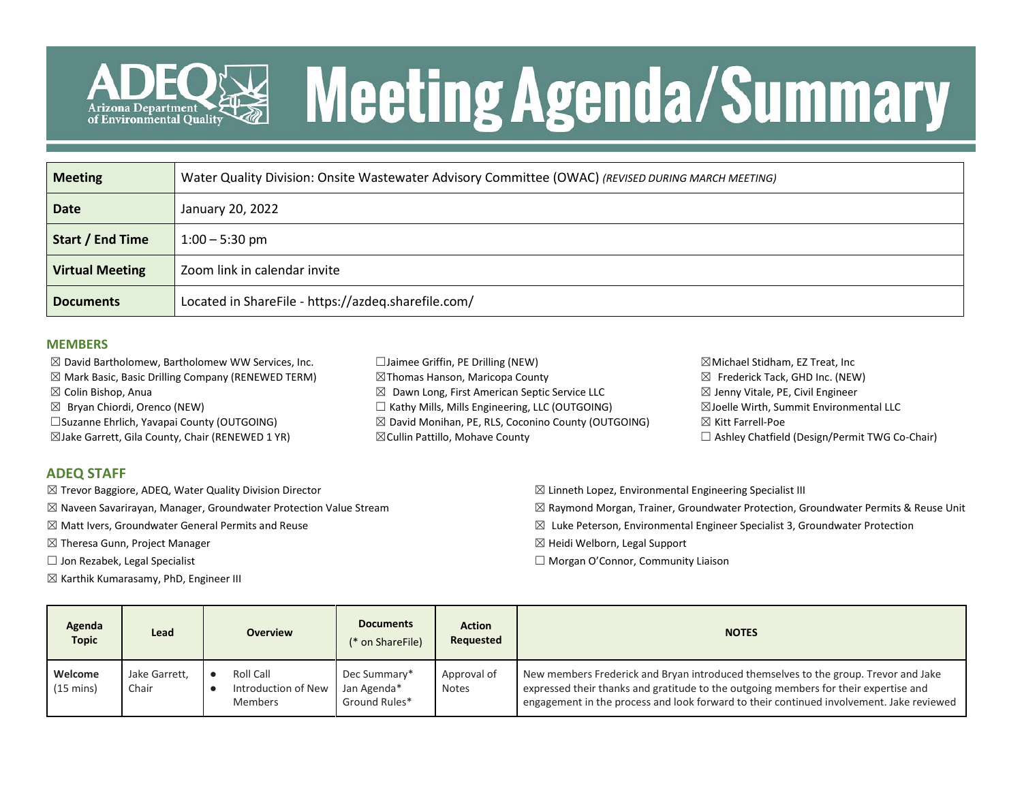

# **Meeting Agenda/Summary**

| <b>Meeting</b>         | Water Quality Division: Onsite Wastewater Advisory Committee (OWAC) (REVISED DURING MARCH MEETING) |
|------------------------|----------------------------------------------------------------------------------------------------|
| <b>Date</b>            | January 20, 2022                                                                                   |
| Start / End Time       | $1:00 - 5:30$ pm                                                                                   |
| <b>Virtual Meeting</b> | Zoom link in calendar invite                                                                       |
| <b>Documents</b>       | Located in ShareFile - https://azdeq.sharefile.com/                                                |

### **MEMBERS**

 $\boxtimes$  David Bartholomew, Bartholomew WW Services, Inc.

- $\boxtimes$  Mark Basic, Basic Drilling Company (RENEWED TERM)
- ☒ Colin Bishop, Anua
- $\boxtimes$  Bryan Chiordi, Orenco (NEW)
- ☐Suzanne Ehrlich, Yavapai County (OUTGOING)
- ☒Jake Garrett, Gila County, Chair (RENEWED 1 YR)

### **ADEQ STAFF**

- ☒ Trevor Baggiore, ADEQ, Water Quality Division Director
- $\boxtimes$  Naveen Savarirayan, Manager, Groundwater Protection Value Stream
- $\boxtimes$  Matt Ivers, Groundwater General Permits and Reuse
- ☒ Theresa Gunn, Project Manager
- $\Box$  Jon Rezabek, Legal Specialist
- $\boxtimes$  Karthik Kumarasamy, PhD, Engineer III
- ☐Jaimee Griffin, PE Drilling (NEW) ☒Thomas Hanson, Maricopa County  $\boxtimes$  Dawn Long, First American Septic Service LLC ☐ Kathy Mills, Mills Engineering, LLC (OUTGOING) ☒ David Monihan, PE, RLS, Coconino County (OUTGOING) ☒Cullin Pattillo, Mohave County
- ☒Michael Stidham, EZ Treat, Inc  $\boxtimes$  Frederick Tack, GHD Inc. (NEW)  $\boxtimes$  Jenny Vitale, PE, Civil Engineer ☒Joelle Wirth, Summit Environmental LLC ☒ Kitt Farrell-Poe ☐ Ashley Chatfield (Design/Permit TWG Co-Chair)
- $\boxtimes$  Linneth Lopez, Environmental Engineering Specialist III
- $\boxtimes$  Raymond Morgan, Trainer, Groundwater Protection, Groundwater Permits & Reuse Unit
- $\boxtimes$  Luke Peterson, Environmental Engineer Specialist 3, Groundwater Protection
- ☒ Heidi Welborn, Legal Support
- $\Box$  Morgan O'Connor, Community Liaison

| Agenda<br><b>Topic</b>         | Lead                   | <b>Overview</b>                             | <b>Documents</b><br><b>Action</b><br>Requested<br>(* on ShareFile) |                             | <b>NOTES</b>                                                                                                                                                                                                                                                            |  |  |  |
|--------------------------------|------------------------|---------------------------------------------|--------------------------------------------------------------------|-----------------------------|-------------------------------------------------------------------------------------------------------------------------------------------------------------------------------------------------------------------------------------------------------------------------|--|--|--|
| Welcome<br>$(15 \text{ mins})$ | Jake Garrett,<br>Chair | Roll Call<br>Introduction of New<br>Members | Dec Summary*<br>Jan Agenda*<br>Ground Rules*                       | Approval of<br><b>Notes</b> | New members Frederick and Bryan introduced themselves to the group. Trevor and Jake<br>expressed their thanks and gratitude to the outgoing members for their expertise and<br>engagement in the process and look forward to their continued involvement. Jake reviewed |  |  |  |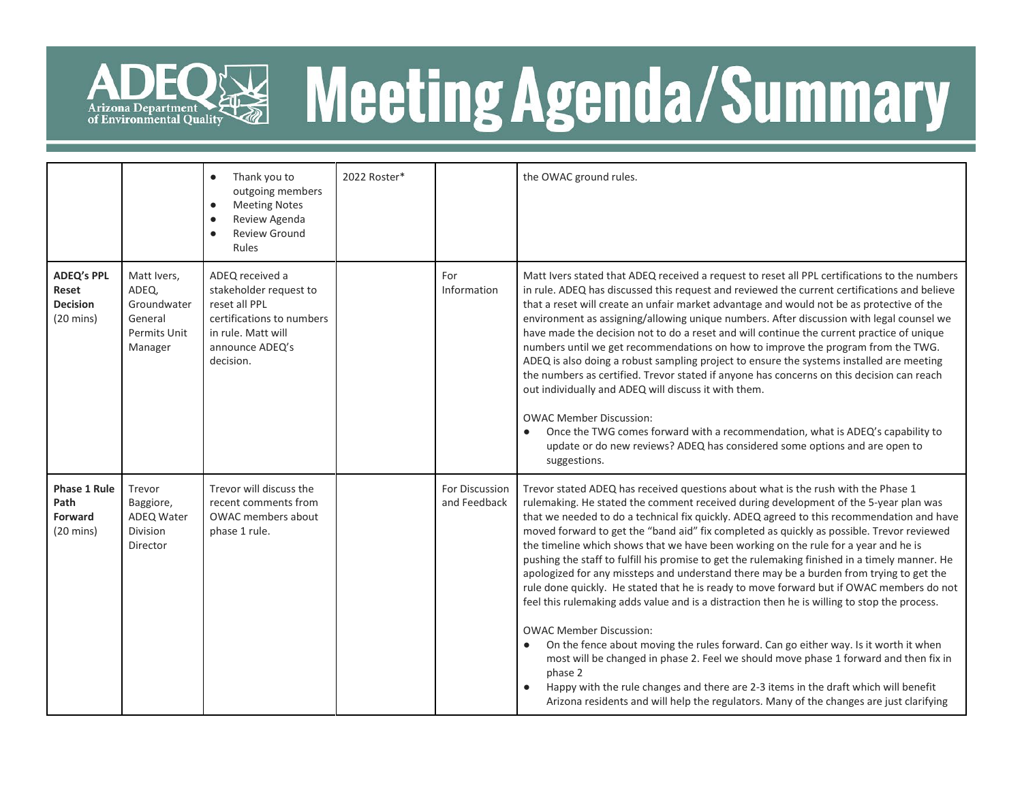

# ADEQ<sup>E</sup> Meeting Agenda/Summary

|                                                                      |                                                                           | Thank you to<br>$\bullet$<br>outgoing members<br><b>Meeting Notes</b><br>$\bullet$<br>Review Agenda<br>$\bullet$<br><b>Review Ground</b><br>$\bullet$<br>Rules | 2022 Roster* |                                | the OWAC ground rules.                                                                                                                                                                                                                                                                                                                                                                                                                                                                                                                                                                                                                                                                                                                                                                                                                                                                                                                                                                                                                                                                                                                                                                                                                                                         |  |  |  |  |
|----------------------------------------------------------------------|---------------------------------------------------------------------------|----------------------------------------------------------------------------------------------------------------------------------------------------------------|--------------|--------------------------------|--------------------------------------------------------------------------------------------------------------------------------------------------------------------------------------------------------------------------------------------------------------------------------------------------------------------------------------------------------------------------------------------------------------------------------------------------------------------------------------------------------------------------------------------------------------------------------------------------------------------------------------------------------------------------------------------------------------------------------------------------------------------------------------------------------------------------------------------------------------------------------------------------------------------------------------------------------------------------------------------------------------------------------------------------------------------------------------------------------------------------------------------------------------------------------------------------------------------------------------------------------------------------------|--|--|--|--|
| <b>ADEQ's PPL</b><br>Reset<br><b>Decision</b><br>$(20 \text{ mins})$ | Matt Ivers,<br>ADEQ,<br>Groundwater<br>General<br>Permits Unit<br>Manager | ADEQ received a<br>stakeholder request to<br>reset all PPL<br>certifications to numbers<br>in rule. Matt will<br>announce ADEQ's<br>decision.                  |              | For<br>Information             | Matt Ivers stated that ADEQ received a request to reset all PPL certifications to the numbers<br>in rule. ADEQ has discussed this request and reviewed the current certifications and believe<br>that a reset will create an unfair market advantage and would not be as protective of the<br>environment as assigning/allowing unique numbers. After discussion with legal counsel we<br>have made the decision not to do a reset and will continue the current practice of unique<br>numbers until we get recommendations on how to improve the program from the TWG.<br>ADEQ is also doing a robust sampling project to ensure the systems installed are meeting<br>the numbers as certified. Trevor stated if anyone has concerns on this decision can reach<br>out individually and ADEQ will discuss it with them.<br><b>OWAC Member Discussion:</b><br>Once the TWG comes forward with a recommendation, what is ADEQ's capability to<br>update or do new reviews? ADEQ has considered some options and are open to<br>suggestions.                                                                                                                                                                                                                                     |  |  |  |  |
| <b>Phase 1 Rule</b><br>Path<br>Forward<br>$(20 \text{ mins})$        | Trevor<br>Baggiore,<br>ADEQ Water<br>Division<br>Director                 | Trevor will discuss the<br>recent comments from<br>OWAC members about<br>phase 1 rule.                                                                         |              | For Discussion<br>and Feedback | Trevor stated ADEQ has received questions about what is the rush with the Phase 1<br>rulemaking. He stated the comment received during development of the 5-year plan was<br>that we needed to do a technical fix quickly. ADEQ agreed to this recommendation and have<br>moved forward to get the "band aid" fix completed as quickly as possible. Trevor reviewed<br>the timeline which shows that we have been working on the rule for a year and he is<br>pushing the staff to fulfill his promise to get the rulemaking finished in a timely manner. He<br>apologized for any missteps and understand there may be a burden from trying to get the<br>rule done quickly. He stated that he is ready to move forward but if OWAC members do not<br>feel this rulemaking adds value and is a distraction then he is willing to stop the process.<br><b>OWAC Member Discussion:</b><br>On the fence about moving the rules forward. Can go either way. Is it worth it when<br>$\bullet$<br>most will be changed in phase 2. Feel we should move phase 1 forward and then fix in<br>phase 2<br>Happy with the rule changes and there are 2-3 items in the draft which will benefit<br>Arizona residents and will help the regulators. Many of the changes are just clarifying |  |  |  |  |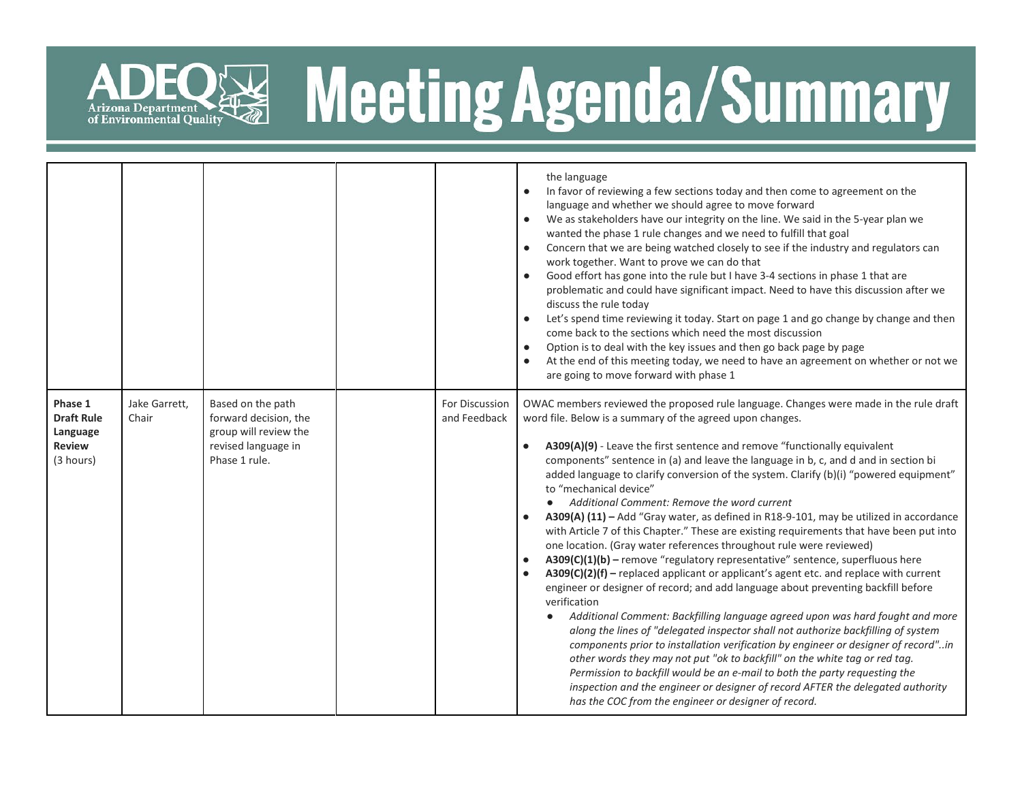

# **READERING Agenda/Summary**

|                                                                        |                        |                                                                                                             |                                | the language<br>In favor of reviewing a few sections today and then come to agreement on the<br>$\bullet$<br>language and whether we should agree to move forward<br>We as stakeholders have our integrity on the line. We said in the 5-year plan we<br>$\bullet$<br>wanted the phase 1 rule changes and we need to fulfill that goal<br>Concern that we are being watched closely to see if the industry and regulators can<br>$\bullet$<br>work together. Want to prove we can do that<br>Good effort has gone into the rule but I have 3-4 sections in phase 1 that are<br>problematic and could have significant impact. Need to have this discussion after we<br>discuss the rule today<br>Let's spend time reviewing it today. Start on page 1 and go change by change and then<br>come back to the sections which need the most discussion<br>Option is to deal with the key issues and then go back page by page<br>At the end of this meeting today, we need to have an agreement on whether or not we<br>are going to move forward with phase 1                                                                                                                                                                                                                                                                                                                                                                                                                                                                                                                                                 |
|------------------------------------------------------------------------|------------------------|-------------------------------------------------------------------------------------------------------------|--------------------------------|------------------------------------------------------------------------------------------------------------------------------------------------------------------------------------------------------------------------------------------------------------------------------------------------------------------------------------------------------------------------------------------------------------------------------------------------------------------------------------------------------------------------------------------------------------------------------------------------------------------------------------------------------------------------------------------------------------------------------------------------------------------------------------------------------------------------------------------------------------------------------------------------------------------------------------------------------------------------------------------------------------------------------------------------------------------------------------------------------------------------------------------------------------------------------------------------------------------------------------------------------------------------------------------------------------------------------------------------------------------------------------------------------------------------------------------------------------------------------------------------------------------------------------------------------------------------------------------------------------|
| Phase 1<br><b>Draft Rule</b><br>Language<br><b>Review</b><br>(3 hours) | Jake Garrett,<br>Chair | Based on the path<br>forward decision, the<br>group will review the<br>revised language in<br>Phase 1 rule. | For Discussion<br>and Feedback | OWAC members reviewed the proposed rule language. Changes were made in the rule draft<br>word file. Below is a summary of the agreed upon changes.<br>A309(A)(9) - Leave the first sentence and remove "functionally equivalent<br>components" sentence in (a) and leave the language in b, c, and d and in section bi<br>added language to clarify conversion of the system. Clarify (b)(i) "powered equipment"<br>to "mechanical device"<br>• Additional Comment: Remove the word current<br>A309(A) (11) - Add "Gray water, as defined in R18-9-101, may be utilized in accordance<br>with Article 7 of this Chapter." These are existing requirements that have been put into<br>one location. (Gray water references throughout rule were reviewed)<br>A309(C)(1)(b) - remove "regulatory representative" sentence, superfluous here<br>A309(C)(2)(f) - replaced applicant or applicant's agent etc. and replace with current<br>engineer or designer of record; and add language about preventing backfill before<br>verification<br>Additional Comment: Backfilling language agreed upon was hard fought and more<br>along the lines of "delegated inspector shall not authorize backfilling of system<br>components prior to installation verification by engineer or designer of record"in<br>other words they may not put "ok to backfill" on the white tag or red tag.<br>Permission to backfill would be an e-mail to both the party requesting the<br>inspection and the engineer or designer of record AFTER the delegated authority<br>has the COC from the engineer or designer of record. |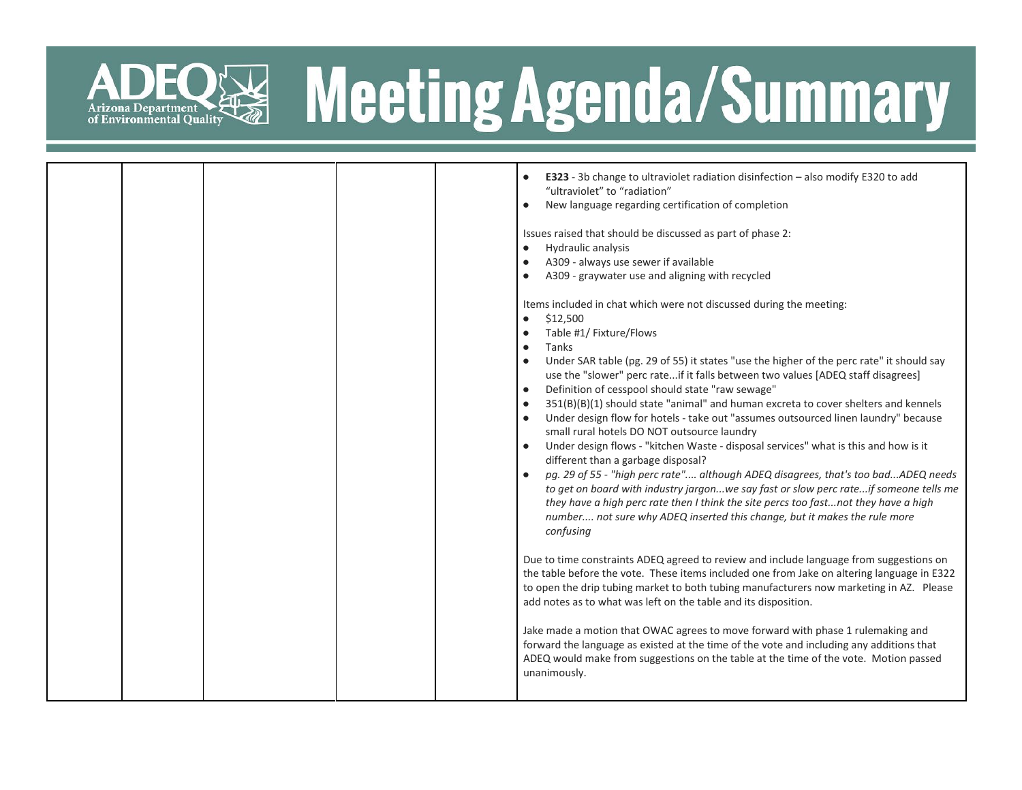

### R& Meeting Agenda/Summary

|  |  | E323 - 3b change to ultraviolet radiation disinfection - also modify E320 to add<br>"ultraviolet" to "radiation"<br>New language regarding certification of completion<br>Issues raised that should be discussed as part of phase 2:<br>Hydraulic analysis<br>A309 - always use sewer if available<br>A309 - graywater use and aligning with recycled<br>Items included in chat which were not discussed during the meeting:<br>\$12,500<br>$\bullet$<br>Table #1/ Fixture/Flows<br>Tanks<br>$\bullet$<br>Under SAR table (pg. 29 of 55) it states "use the higher of the perc rate" it should say<br>use the "slower" perc rateif it falls between two values [ADEQ staff disagrees]<br>Definition of cesspool should state "raw sewage"<br>351(B)(B)(1) should state "animal" and human excreta to cover shelters and kennels<br>Under design flow for hotels - take out "assumes outsourced linen laundry" because<br>small rural hotels DO NOT outsource laundry<br>Under design flows - "kitchen Waste - disposal services" what is this and how is it<br>different than a garbage disposal?<br>pg. 29 of 55 - "high perc rate" although ADEQ disagrees, that's too badADEQ needs<br>to get on board with industry jargonwe say fast or slow perc rateif someone tells me<br>they have a high perc rate then I think the site percs too fastnot they have a high<br>number not sure why ADEQ inserted this change, but it makes the rule more<br>confusing |
|--|--|-----------------------------------------------------------------------------------------------------------------------------------------------------------------------------------------------------------------------------------------------------------------------------------------------------------------------------------------------------------------------------------------------------------------------------------------------------------------------------------------------------------------------------------------------------------------------------------------------------------------------------------------------------------------------------------------------------------------------------------------------------------------------------------------------------------------------------------------------------------------------------------------------------------------------------------------------------------------------------------------------------------------------------------------------------------------------------------------------------------------------------------------------------------------------------------------------------------------------------------------------------------------------------------------------------------------------------------------------------------------------------------------------------------------------------------------------------------------|
|  |  |                                                                                                                                                                                                                                                                                                                                                                                                                                                                                                                                                                                                                                                                                                                                                                                                                                                                                                                                                                                                                                                                                                                                                                                                                                                                                                                                                                                                                                                                 |
|  |  |                                                                                                                                                                                                                                                                                                                                                                                                                                                                                                                                                                                                                                                                                                                                                                                                                                                                                                                                                                                                                                                                                                                                                                                                                                                                                                                                                                                                                                                                 |
|  |  |                                                                                                                                                                                                                                                                                                                                                                                                                                                                                                                                                                                                                                                                                                                                                                                                                                                                                                                                                                                                                                                                                                                                                                                                                                                                                                                                                                                                                                                                 |
|  |  | Due to time constraints ADEQ agreed to review and include language from suggestions on<br>the table before the vote. These items included one from Jake on altering language in E322<br>to open the drip tubing market to both tubing manufacturers now marketing in AZ. Please<br>add notes as to what was left on the table and its disposition.                                                                                                                                                                                                                                                                                                                                                                                                                                                                                                                                                                                                                                                                                                                                                                                                                                                                                                                                                                                                                                                                                                              |
|  |  | Jake made a motion that OWAC agrees to move forward with phase 1 rulemaking and<br>forward the language as existed at the time of the vote and including any additions that<br>ADEQ would make from suggestions on the table at the time of the vote. Motion passed<br>unanimously.                                                                                                                                                                                                                                                                                                                                                                                                                                                                                                                                                                                                                                                                                                                                                                                                                                                                                                                                                                                                                                                                                                                                                                             |